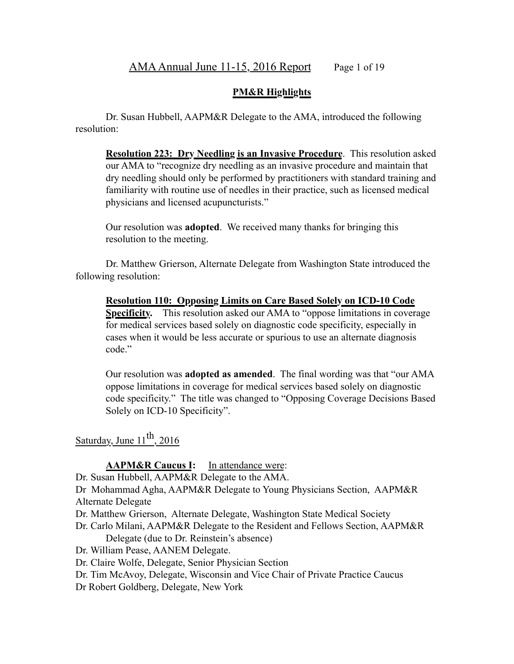#### **PM&R Highlights**

Dr. Susan Hubbell, AAPM&R Delegate to the AMA, introduced the following resolution:

**Resolution 223: Dry Needling is an Invasive Procedure**. This resolution asked our AMA to "recognize dry needling as an invasive procedure and maintain that dry needling should only be performed by practitioners with standard training and familiarity with routine use of needles in their practice, such as licensed medical physicians and licensed acupuncturists."

Our resolution was **adopted**. We received many thanks for bringing this resolution to the meeting.

Dr. Matthew Grierson, Alternate Delegate from Washington State introduced the following resolution:

**Resolution 110: Opposing Limits on Care Based Solely on ICD-10 Code Specificity.** This resolution asked our AMA to "oppose limitations in coverage for medical services based solely on diagnostic code specificity, especially in cases when it would be less accurate or spurious to use an alternate diagnosis code."

Our resolution was **adopted as amended**. The final wording was that "our AMA oppose limitations in coverage for medical services based solely on diagnostic code specificity." The title was changed to "Opposing Coverage Decisions Based Solely on ICD-10 Specificity".

Saturday, June  $11^{th}$ , 2016

### **AAPM&R Caucus I:** In attendance were:

Dr. Susan Hubbell, AAPM&R Delegate to the AMA.

Dr Mohammad Agha, AAPM&R Delegate to Young Physicians Section, AAPM&R Alternate Delegate

- Dr. Matthew Grierson, Alternate Delegate, Washington State Medical Society
- Dr. Carlo Milani, AAPM&R Delegate to the Resident and Fellows Section, AAPM&R Delegate (due to Dr. Reinstein's absence)

Dr. William Pease, AANEM Delegate.

Dr. Claire Wolfe, Delegate, Senior Physician Section

Dr. Tim McAvoy, Delegate, Wisconsin and Vice Chair of Private Practice Caucus

Dr Robert Goldberg, Delegate, New York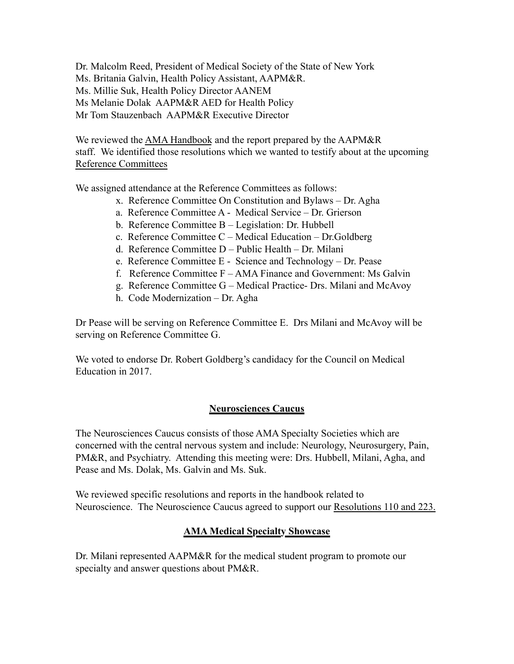Dr. Malcolm Reed, President of Medical Society of the State of New York Ms. Britania Galvin, Health Policy Assistant, AAPM&R. Ms. Millie Suk, Health Policy Director AANEM Ms Melanie Dolak AAPM&R AED for Health Policy Mr Tom Stauzenbach AAPM&R Executive Director

We reviewed the AMA Handbook and the report prepared by the AAPM&R staff. We identified those resolutions which we wanted to testify about at the upcoming Reference Committees

We assigned attendance at the Reference Committees as follows:

- x. Reference Committee On Constitution and Bylaws Dr. Agha
- a. Reference Committee A Medical Service Dr. Grierson
- b. Reference Committee B Legislation: Dr. Hubbell
- c. Reference Committee C Medical Education Dr.Goldberg
- d. Reference Committee D Public Health Dr. Milani
- e. Reference Committee E Science and Technology Dr. Pease
- f. Reference Committee F AMA Finance and Government: Ms Galvin
- g. Reference Committee G Medical Practice- Drs. Milani and McAvoy
- h. Code Modernization Dr. Agha

Dr Pease will be serving on Reference Committee E. Drs Milani and McAvoy will be serving on Reference Committee G.

We voted to endorse Dr. Robert Goldberg's candidacy for the Council on Medical Education in 2017.

## **Neurosciences Caucus**

The Neurosciences Caucus consists of those AMA Specialty Societies which are concerned with the central nervous system and include: Neurology, Neurosurgery, Pain, PM&R, and Psychiatry. Attending this meeting were: Drs. Hubbell, Milani, Agha, and Pease and Ms. Dolak, Ms. Galvin and Ms. Suk.

We reviewed specific resolutions and reports in the handbook related to Neuroscience. The Neuroscience Caucus agreed to support our Resolutions 110 and 223.

## **AMA Medical Specialty Showcase**

Dr. Milani represented AAPM&R for the medical student program to promote our specialty and answer questions about PM&R.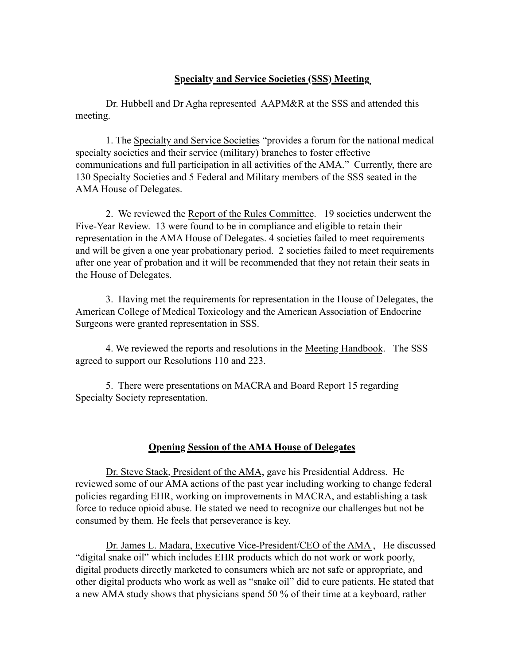#### **Specialty and Service Societies (SSS) Meeting**

Dr. Hubbell and Dr Agha represented AAPM&R at the SSS and attended this meeting.

1. The Specialty and Service Societies "provides a forum for the national medical specialty societies and their service (military) branches to foster effective communications and full participation in all activities of the AMA." Currently, there are 130 Specialty Societies and 5 Federal and Military members of the SSS seated in the AMA House of Delegates.

2. We reviewed the Report of the Rules Committee. 19 societies underwent the Five-Year Review. 13 were found to be in compliance and eligible to retain their representation in the AMA House of Delegates. 4 societies failed to meet requirements and will be given a one year probationary period. 2 societies failed to meet requirements after one year of probation and it will be recommended that they not retain their seats in the House of Delegates.

3. Having met the requirements for representation in the House of Delegates, the American College of Medical Toxicology and the American Association of Endocrine Surgeons were granted representation in SSS.

4. We reviewed the reports and resolutions in the Meeting Handbook. The SSS agreed to support our Resolutions 110 and 223.

5. There were presentations on MACRA and Board Report 15 regarding Specialty Society representation.

### **Opening Session of the AMA House of Delegates**

Dr. Steve Stack, President of the AMA, gave his Presidential Address. He reviewed some of our AMA actions of the past year including working to change federal policies regarding EHR, working on improvements in MACRA, and establishing a task force to reduce opioid abuse. He stated we need to recognize our challenges but not be consumed by them. He feels that perseverance is key.

Dr. James L. Madara, Executive Vice-President/CEO of the AMA , He discussed "digital snake oil" which includes EHR products which do not work or work poorly, digital products directly marketed to consumers which are not safe or appropriate, and other digital products who work as well as "snake oil" did to cure patients. He stated that a new AMA study shows that physicians spend 50 % of their time at a keyboard, rather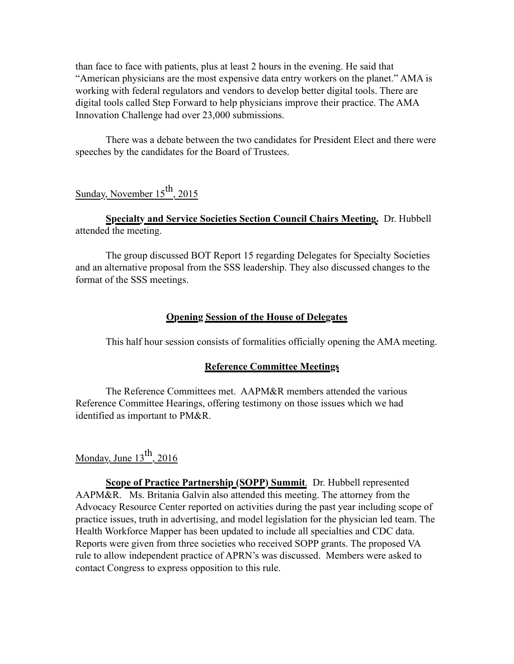than face to face with patients, plus at least 2 hours in the evening. He said that "American physicians are the most expensive data entry workers on the planet." AMA is working with federal regulators and vendors to develop better digital tools. There are digital tools called Step Forward to help physicians improve their practice. The AMA Innovation Challenge had over 23,000 submissions.

There was a debate between the two candidates for President Elect and there were speeches by the candidates for the Board of Trustees.

# Sunday, November  $15^{th}$ , 2015

#### **Specialty and Service Societies Section Council Chairs Meeting.** Dr. Hubbell attended the meeting.

The group discussed BOT Report 15 regarding Delegates for Specialty Societies and an alternative proposal from the SSS leadership. They also discussed changes to the format of the SSS meetings.

#### **Opening Session of the House of Delegates**

This half hour session consists of formalities officially opening the AMA meeting.

#### **Reference Committee Meetings**

The Reference Committees met. AAPM&R members attended the various Reference Committee Hearings, offering testimony on those issues which we had identified as important to PM&R.

# Monday, June  $13<sup>th</sup>$ , 2016

**Scope of Practice Partnership (SOPP) Summit**. Dr. Hubbell represented AAPM&R. Ms. Britania Galvin also attended this meeting. The attorney from the Advocacy Resource Center reported on activities during the past year including scope of practice issues, truth in advertising, and model legislation for the physician led team. The Health Workforce Mapper has been updated to include all specialties and CDC data. Reports were given from three societies who received SOPP grants. The proposed VA rule to allow independent practice of APRN's was discussed. Members were asked to contact Congress to express opposition to this rule.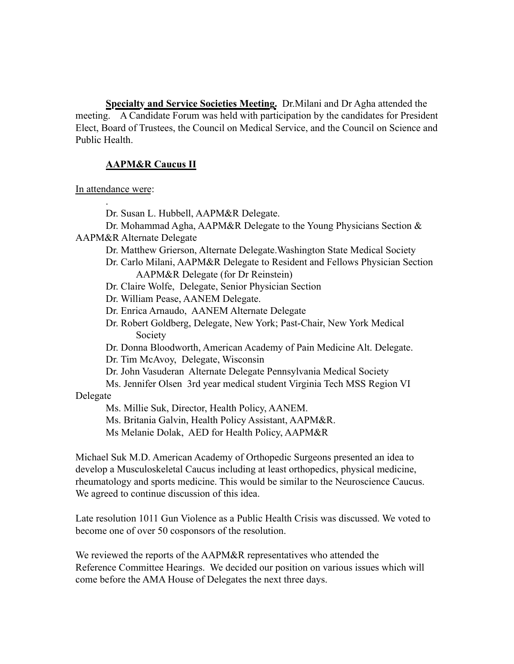**Specialty and Service Societies Meeting.** Dr.Milani and Dr Agha attended the meeting. A Candidate Forum was held with participation by the candidates for President Elect, Board of Trustees, the Council on Medical Service, and the Council on Science and Public Health.

#### **AAPM&R Caucus II**

In attendance were:

.

Dr. Susan L. Hubbell, AAPM&R Delegate.

 Dr. Mohammad Agha, AAPM&R Delegate to the Young Physicians Section & AAPM&R Alternate Delegate

Dr. Matthew Grierson, Alternate Delegate.Washington State Medical Society

- Dr. Carlo Milani, AAPM&R Delegate to Resident and Fellows Physician Section AAPM&R Delegate (for Dr Reinstein)
- Dr. Claire Wolfe, Delegate, Senior Physician Section

Dr. William Pease, AANEM Delegate.

Dr. Enrica Arnaudo, AANEM Alternate Delegate

 Dr. Robert Goldberg, Delegate, New York; Past-Chair, New York Medical Society

Dr. Donna Bloodworth, American Academy of Pain Medicine Alt. Delegate.

Dr. Tim McAvoy, Delegate, Wisconsin

Dr. John Vasuderan Alternate Delegate Pennsylvania Medical Society

 Ms. Jennifer Olsen 3rd year medical student Virginia Tech MSS Region VI Delegate

Ms. Millie Suk, Director, Health Policy, AANEM.

Ms. Britania Galvin, Health Policy Assistant, AAPM&R.

Ms Melanie Dolak, AED for Health Policy, AAPM&R

Michael Suk M.D. American Academy of Orthopedic Surgeons presented an idea to develop a Musculoskeletal Caucus including at least orthopedics, physical medicine, rheumatology and sports medicine. This would be similar to the Neuroscience Caucus. We agreed to continue discussion of this idea.

Late resolution 1011 Gun Violence as a Public Health Crisis was discussed. We voted to become one of over 50 cosponsors of the resolution.

We reviewed the reports of the AAPM&R representatives who attended the Reference Committee Hearings. We decided our position on various issues which will come before the AMA House of Delegates the next three days.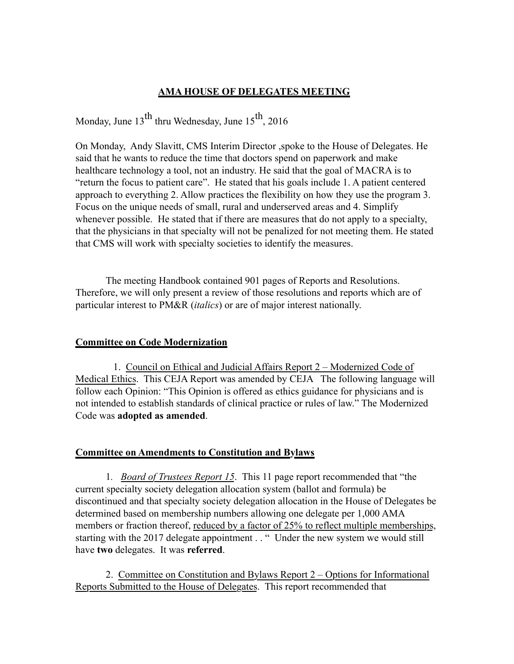## **AMA HOUSE OF DELEGATES MEETING**

Monday, June  $13^{th}$  thru Wednesday, June  $15^{th}$ , 2016

On Monday, Andy Slavitt, CMS Interim Director ,spoke to the House of Delegates. He said that he wants to reduce the time that doctors spend on paperwork and make healthcare technology a tool, not an industry. He said that the goal of MACRA is to "return the focus to patient care". He stated that his goals include 1. A patient centered approach to everything 2. Allow practices the flexibility on how they use the program 3. Focus on the unique needs of small, rural and underserved areas and 4. Simplify whenever possible. He stated that if there are measures that do not apply to a specialty, that the physicians in that specialty will not be penalized for not meeting them. He stated that CMS will work with specialty societies to identify the measures.

 The meeting Handbook contained 901 pages of Reports and Resolutions. Therefore, we will only present a review of those resolutions and reports which are of particular interest to PM&R (*italics*) or are of major interest nationally.

### **Committee on Code Modernization**

 1. Council on Ethical and Judicial Affairs Report 2 – Modernized Code of Medical Ethics. This CEJA Report was amended by CEJA The following language will follow each Opinion: "This Opinion is offered as ethics guidance for physicians and is not intended to establish standards of clinical practice or rules of law." The Modernized Code was **adopted as amended**.

### **Committee on Amendments to Constitution and Bylaws**

1*. Board of Trustees Report 15*. This 11 page report recommended that "the current specialty society delegation allocation system (ballot and formula) be discontinued and that specialty society delegation allocation in the House of Delegates be determined based on membership numbers allowing one delegate per 1,000 AMA members or fraction thereof, reduced by a factor of 25% to reflect multiple memberships, starting with the 2017 delegate appointment . . " Under the new system we would still have **two** delegates. It was **referred**.

2. Committee on Constitution and Bylaws Report 2 – Options for Informational Reports Submitted to the House of Delegates. This report recommended that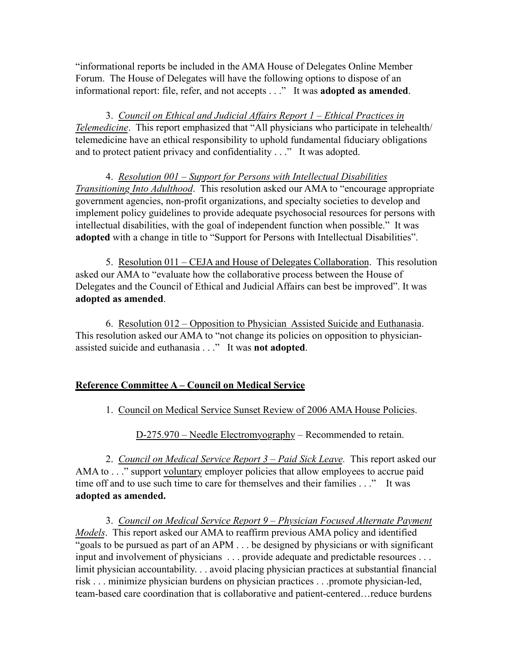"informational reports be included in the AMA House of Delegates Online Member Forum. The House of Delegates will have the following options to dispose of an informational report: file, refer, and not accepts . . ." It was **adopted as amended**.

3. *Council on Ethical and Judicial Affairs Report 1 – Ethical Practices in Telemedicine*. This report emphasized that "All physicians who participate in telehealth/ telemedicine have an ethical responsibility to uphold fundamental fiduciary obligations and to protect patient privacy and confidentiality . . ." It was adopted.

4. *Resolution 001 – Support for Persons with Intellectual Disabilities Transitioning Into Adulthood*. This resolution asked our AMA to "encourage appropriate government agencies, non-profit organizations, and specialty societies to develop and implement policy guidelines to provide adequate psychosocial resources for persons with intellectual disabilities, with the goal of independent function when possible." It was **adopted** with a change in title to "Support for Persons with Intellectual Disabilities".

5. Resolution 011 – CEJA and House of Delegates Collaboration. This resolution asked our AMA to "evaluate how the collaborative process between the House of Delegates and the Council of Ethical and Judicial Affairs can best be improved". It was **adopted as amended**.

6. Resolution 012 – Opposition to Physician Assisted Suicide and Euthanasia. This resolution asked our AMA to "not change its policies on opposition to physicianassisted suicide and euthanasia . . ." It was **not adopted**.

## **Reference Committee A – Council on Medical Service**

1. Council on Medical Service Sunset Review of 2006 AMA House Policies.

D-275.970 – Needle Electromyography – Recommended to retain.

2. *Council on Medical Service Report 3 – Paid Sick Leave.* This report asked our AMA to . . ." support voluntary employer policies that allow employees to accrue paid time off and to use such time to care for themselves and their families . . ." It was **adopted as amended.**

3. *Council on Medical Service Report 9 – Physician Focused Alternate Payment Models*. This report asked our AMA to reaffirm previous AMA policy and identified "goals to be pursued as part of an APM . . . be designed by physicians or with significant input and involvement of physicians . . . provide adequate and predictable resources . . . limit physician accountability. . . avoid placing physician practices at substantial financial risk . . . minimize physician burdens on physician practices . . .promote physician-led, team-based care coordination that is collaborative and patient-centered…reduce burdens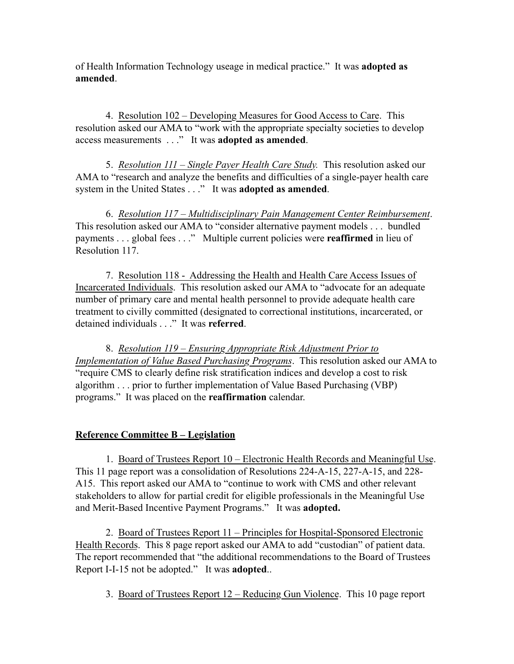of Health Information Technology useage in medical practice." It was **adopted as amended**.

4. Resolution 102 – Developing Measures for Good Access to Care. This resolution asked our AMA to "work with the appropriate specialty societies to develop access measurements . . ." It was **adopted as amended**.

5. *Resolution 111 – Single Payer Health Care Study.* This resolution asked our AMA to "research and analyze the benefits and difficulties of a single-payer health care system in the United States . . ." It was **adopted as amended**.

6. *Resolution 117 – Multidisciplinary Pain Management Center Reimbursement*. This resolution asked our AMA to "consider alternative payment models . . . bundled payments . . . global fees . . ." Multiple current policies were **reaffirmed** in lieu of Resolution 117.

7. Resolution 118 - Addressing the Health and Health Care Access Issues of Incarcerated Individuals. This resolution asked our AMA to "advocate for an adequate number of primary care and mental health personnel to provide adequate health care treatment to civilly committed (designated to correctional institutions, incarcerated, or detained individuals . . ." It was **referred**.

8. *Resolution 119 – Ensuring Appropriate Risk Adjustment Prior to Implementation of Value Based Purchasing Programs*. This resolution asked our AMA to "require CMS to clearly define risk stratification indices and develop a cost to risk algorithm . . . prior to further implementation of Value Based Purchasing (VBP) programs." It was placed on the **reaffirmation** calendar.

### **Reference Committee B – Legislation**

1. Board of Trustees Report 10 – Electronic Health Records and Meaningful Use. This 11 page report was a consolidation of Resolutions 224-A-15, 227-A-15, and 228- A15. This report asked our AMA to "continue to work with CMS and other relevant stakeholders to allow for partial credit for eligible professionals in the Meaningful Use and Merit-Based Incentive Payment Programs." It was **adopted.**

2. Board of Trustees Report 11 – Principles for Hospital-Sponsored Electronic Health Records. This 8 page report asked our AMA to add "custodian" of patient data. The report recommended that "the additional recommendations to the Board of Trustees Report I-I-15 not be adopted." It was **adopted**..

3. Board of Trustees Report 12 – Reducing Gun Violence. This 10 page report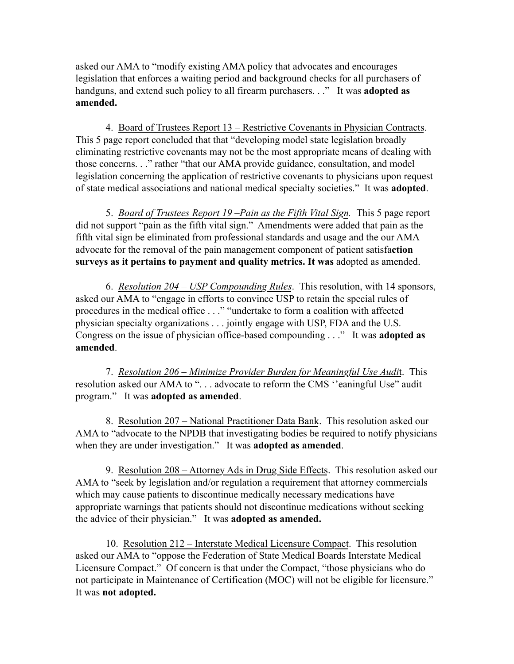asked our AMA to "modify existing AMA policy that advocates and encourages legislation that enforces a waiting period and background checks for all purchasers of handguns, and extend such policy to all firearm purchasers. . ." It was **adopted as amended.** 

4. Board of Trustees Report 13 – Restrictive Covenants in Physician Contracts. This 5 page report concluded that that "developing model state legislation broadly eliminating restrictive covenants may not be the most appropriate means of dealing with those concerns. . ." rather "that our AMA provide guidance, consultation, and model legislation concerning the application of restrictive covenants to physicians upon request of state medical associations and national medical specialty societies." It was **adopted**.

5. *Board of Trustees Report 19 –Pain as the Fifth Vital Sign.* This 5 page report did not support "pain as the fifth vital sign." Amendments were added that pain as the fifth vital sign be eliminated from professional standards and usage and the our AMA advocate for the removal of the pain management component of patient satisfa**ction surveys as it pertains to payment and quality metrics. It was** adopted as amended.

6. *Resolution 204 – USP Compounding Rules*. This resolution, with 14 sponsors, asked our AMA to "engage in efforts to convince USP to retain the special rules of procedures in the medical office . . ." "undertake to form a coalition with affected physician specialty organizations . . . jointly engage with USP, FDA and the U.S. Congress on the issue of physician office-based compounding . . ." It was **adopted as amended**.

7. *Resolution 206 – Minimize Provider Burden for Meaningful Use Audi*t. This resolution asked our AMA to ". . . advocate to reform the CMS ''eaningful Use" audit program." It was **adopted as amended**.

8. Resolution 207 – National Practitioner Data Bank. This resolution asked our AMA to "advocate to the NPDB that investigating bodies be required to notify physicians when they are under investigation." It was **adopted as amended**.

9. Resolution 208 – Attorney Ads in Drug Side Effects. This resolution asked our AMA to "seek by legislation and/or regulation a requirement that attorney commercials which may cause patients to discontinue medically necessary medications have appropriate warnings that patients should not discontinue medications without seeking the advice of their physician." It was **adopted as amended.**

10. Resolution 212 – Interstate Medical Licensure Compact. This resolution asked our AMA to "oppose the Federation of State Medical Boards Interstate Medical Licensure Compact." Of concern is that under the Compact, "those physicians who do not participate in Maintenance of Certification (MOC) will not be eligible for licensure." It was **not adopted.**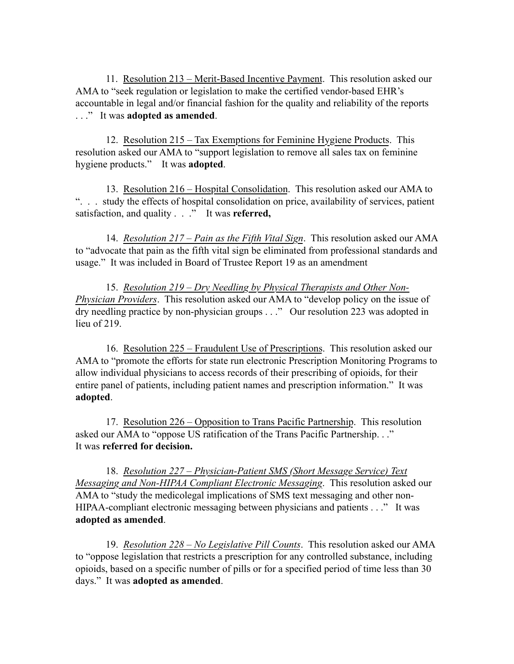11. Resolution 213 – Merit-Based Incentive Payment. This resolution asked our AMA to "seek regulation or legislation to make the certified vendor-based EHR's accountable in legal and/or financial fashion for the quality and reliability of the reports . . ." It was **adopted as amended**.

12. Resolution 215 – Tax Exemptions for Feminine Hygiene Products. This resolution asked our AMA to "support legislation to remove all sales tax on feminine hygiene products." It was **adopted**.

13. Resolution 216 – Hospital Consolidation. This resolution asked our AMA to ". . . study the effects of hospital consolidation on price, availability of services, patient satisfaction, and quality . . ." It was **referred,**

14. *Resolution 217 – Pain as the Fifth Vital Sign*. This resolution asked our AMA to "advocate that pain as the fifth vital sign be eliminated from professional standards and usage." It was included in Board of Trustee Report 19 as an amendment

15. *Resolution 219 – Dry Needling by Physical Therapists and Other Non-Physician Providers*. This resolution asked our AMA to "develop policy on the issue of dry needling practice by non-physician groups . . ." Our resolution 223 was adopted in lieu of 219.

16. Resolution 225 – Fraudulent Use of Prescriptions. This resolution asked our AMA to "promote the efforts for state run electronic Prescription Monitoring Programs to allow individual physicians to access records of their prescribing of opioids, for their entire panel of patients, including patient names and prescription information." It was **adopted**.

17. Resolution 226 – Opposition to Trans Pacific Partnership. This resolution asked our AMA to "oppose US ratification of the Trans Pacific Partnership. . ." It was **referred for decision.**

18. *Resolution 227 – Physician-Patient SMS (Short Message Service) Text Messaging and Non-HIPAA Compliant Electronic Messaging*. This resolution asked our AMA to "study the medicolegal implications of SMS text messaging and other non-HIPAA-compliant electronic messaging between physicians and patients . . ." It was **adopted as amended**.

19. *Resolution 228 – No Legislative Pill Counts*. This resolution asked our AMA to "oppose legislation that restricts a prescription for any controlled substance, including opioids, based on a specific number of pills or for a specified period of time less than 30 days." It was **adopted as amended**.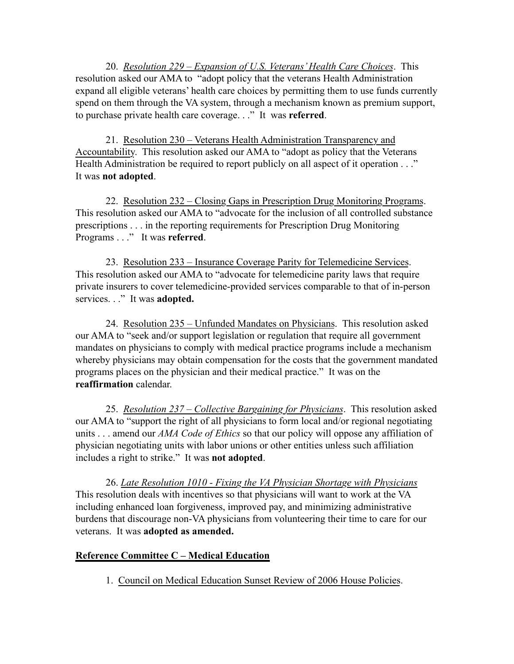20. *Resolution 229 – Expansion of U.S. Veterans' Health Care Choices*. This resolution asked our AMA to "adopt policy that the veterans Health Administration expand all eligible veterans' health care choices by permitting them to use funds currently spend on them through the VA system, through a mechanism known as premium support, to purchase private health care coverage. . ." It was **referred**.

21. Resolution 230 – Veterans Health Administration Transparency and Accountability. This resolution asked our AMA to "adopt as policy that the Veterans Health Administration be required to report publicly on all aspect of it operation . . ." It was **not adopted**.

22. Resolution 232 – Closing Gaps in Prescription Drug Monitoring Programs. This resolution asked our AMA to "advocate for the inclusion of all controlled substance prescriptions . . . in the reporting requirements for Prescription Drug Monitoring Programs . . ." It was **referred**.

23. Resolution 233 – Insurance Coverage Parity for Telemedicine Services. This resolution asked our AMA to "advocate for telemedicine parity laws that require private insurers to cover telemedicine-provided services comparable to that of in-person services. . ." It was **adopted.**

24. Resolution 235 – Unfunded Mandates on Physicians. This resolution asked our AMA to "seek and/or support legislation or regulation that require all government mandates on physicians to comply with medical practice programs include a mechanism whereby physicians may obtain compensation for the costs that the government mandated programs places on the physician and their medical practice." It was on the **reaffirmation** calendar.

25. *Resolution 237 – Collective Bargaining for Physicians*. This resolution asked our AMA to "support the right of all physicians to form local and/or regional negotiating units . . . amend our *AMA Code of Ethics* so that our policy will oppose any affiliation of physician negotiating units with labor unions or other entities unless such affiliation includes a right to strike." It was **not adopted**.

26. *Late Resolution 1010 - Fixing the VA Physician Shortage with Physicians*  This resolution deals with incentives so that physicians will want to work at the VA including enhanced loan forgiveness, improved pay, and minimizing administrative burdens that discourage non-VA physicians from volunteering their time to care for our veterans. It was **adopted as amended.**

## **Reference Committee C – Medical Education**

1. Council on Medical Education Sunset Review of 2006 House Policies.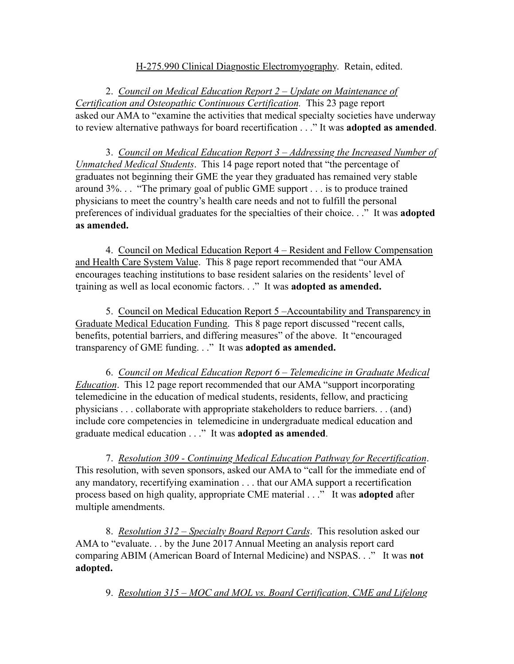## H-275.990 Clinical Diagnostic Electromyography. Retain, edited.

2. *Council on Medical Education Report 2 – Update on Maintenance of Certification and Osteopathic Continuous Certification.* This 23 page report asked our AMA to "examine the activities that medical specialty societies have underway to review alternative pathways for board recertification . . ." It was **adopted as amended**.

3. *Council on Medical Education Report 3 – Addressing the Increased Number of Unmatched Medical Students*. This 14 page report noted that "the percentage of graduates not beginning their GME the year they graduated has remained very stable around 3%. . . "The primary goal of public GME support . . . is to produce trained physicians to meet the country's health care needs and not to fulfill the personal preferences of individual graduates for the specialties of their choice. . ." It was **adopted as amended.** 

4. Council on Medical Education Report 4 – Resident and Fellow Compensation and Health Care System Value. This 8 page report recommended that "our AMA encourages teaching institutions to base resident salaries on the residents' level of training as well as local economic factors. . ." It was **adopted as amended.**

5. Council on Medical Education Report 5 –Accountability and Transparency in Graduate Medical Education Funding. This 8 page report discussed "recent calls, benefits, potential barriers, and differing measures" of the above. It "encouraged transparency of GME funding. . ." It was **adopted as amended.**

6. *Council on Medical Education Report 6 – Telemedicine in Graduate Medical Education*. This 12 page report recommended that our AMA "support incorporating telemedicine in the education of medical students, residents, fellow, and practicing physicians . . . collaborate with appropriate stakeholders to reduce barriers. . . (and) include core competencies in telemedicine in undergraduate medical education and graduate medical education . . ." It was **adopted as amended**.

7. *Resolution 309 - Continuing Medical Education Pathway for Recertification*. This resolution, with seven sponsors, asked our AMA to "call for the immediate end of any mandatory, recertifying examination . . . that our AMA support a recertification process based on high quality, appropriate CME material . . ." It was **adopted** after multiple amendments.

8. *Resolution 312 – Specialty Board Report Cards*. This resolution asked our AMA to "evaluate. . . by the June 2017 Annual Meeting an analysis report card comparing ABIM (American Board of Internal Medicine) and NSPAS. . ." It was **not adopted.** 

9. *Resolution 315 – MOC and MOL vs. Board Certification, CME and Lifelong*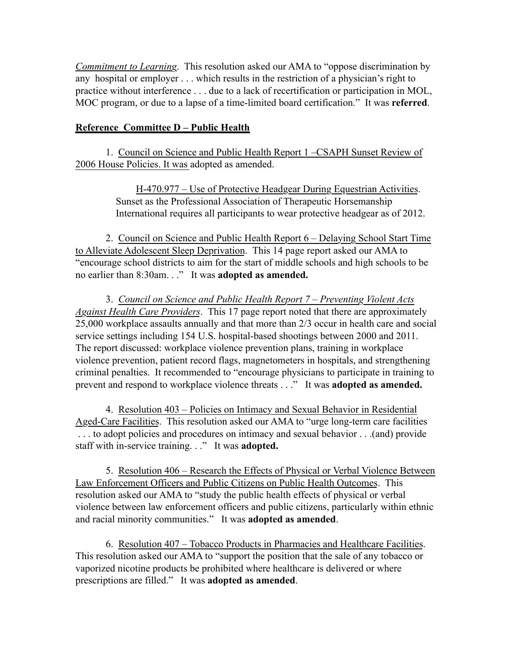*Commitment to Learning*. This resolution asked our AMA to "oppose discrimination by any hospital or employer . . . which results in the restriction of a physician's right to practice without interference . . . due to a lack of recertification or participation in MOL, MOC program, or due to a lapse of a time-limited board certification." It was **referred**.

## **Reference Committee D – Public Health**

1. Council on Science and Public Health Report 1 –CSAPH Sunset Review of 2006 House Policies. It was adopted as amended.

> H-470.977 – Use of Protective Headgear During Equestrian Activities. Sunset as the Professional Association of Therapeutic Horsemanship International requires all participants to wear protective headgear as of 2012.

2. Council on Science and Public Health Report 6 – Delaying School Start Time to Alleviate Adolescent Sleep Deprivation. This 14 page report asked our AMA to "encourage school districts to aim for the start of middle schools and high schools to be no earlier than 8:30am. . ." It was **adopted as amended.**

3. *Council on Science and Public Health Report 7 – Preventing Violent Acts Against Health Care Providers*. This 17 page report noted that there are approximately 25,000 workplace assaults annually and that more than 2/3 occur in health care and social service settings including 154 U.S. hospital-based shootings between 2000 and 2011. The report discussed: workplace violence prevention plans, training in workplace violence prevention, patient record flags, magnetometers in hospitals, and strengthening criminal penalties. It recommended to "encourage physicians to participate in training to prevent and respond to workplace violence threats . . ." It was **adopted as amended.**

4. Resolution 403 – Policies on Intimacy and Sexual Behavior in Residential Aged-Care Facilities. This resolution asked our AMA to "urge long-term care facilities . . . to adopt policies and procedures on intimacy and sexual behavior . . .(and) provide staff with in-service training. . ." It was **adopted.**

5. Resolution 406 – Research the Effects of Physical or Verbal Violence Between Law Enforcement Officers and Public Citizens on Public Health Outcomes. This resolution asked our AMA to "study the public health effects of physical or verbal violence between law enforcement officers and public citizens, particularly within ethnic and racial minority communities." It was **adopted as amended**.

6. Resolution 407 – Tobacco Products in Pharmacies and Healthcare Facilities. This resolution asked our AMA to "support the position that the sale of any tobacco or vaporized nicotine products be prohibited where healthcare is delivered or where prescriptions are filled." It was **adopted as amended**.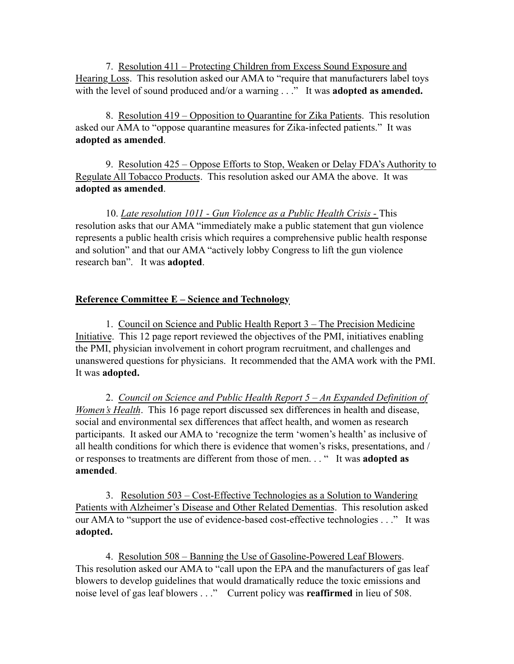7. Resolution 411 – Protecting Children from Excess Sound Exposure and Hearing Loss. This resolution asked our AMA to "require that manufacturers label toys with the level of sound produced and/or a warning . . ." It was **adopted as amended.** 

8. Resolution 419 – Opposition to Quarantine for Zika Patients. This resolution asked our AMA to "oppose quarantine measures for Zika-infected patients." It was **adopted as amended**.

9. Resolution 425 – Oppose Efforts to Stop, Weaken or Delay FDA's Authority to Regulate All Tobacco Products. This resolution asked our AMA the above. It was **adopted as amended**.

10. *Late resolution 1011 - Gun Violence as a Public Health Crisis - This* resolution asks that our AMA "immediately make a public statement that gun violence represents a public health crisis which requires a comprehensive public health response and solution" and that our AMA "actively lobby Congress to lift the gun violence research ban". It was **adopted**.

# **Reference Committee E – Science and Technology**

1. Council on Science and Public Health Report 3 – The Precision Medicine Initiative. This 12 page report reviewed the objectives of the PMI, initiatives enabling the PMI, physician involvement in cohort program recruitment, and challenges and unanswered questions for physicians. It recommended that the AMA work with the PMI. It was **adopted.**

2. *Council on Science and Public Health Report 5 – An Expanded Definition of Women's Health*. This 16 page report discussed sex differences in health and disease, social and environmental sex differences that affect health, and women as research participants. It asked our AMA to 'recognize the term 'women's health' as inclusive of all health conditions for which there is evidence that women's risks, presentations, and / or responses to treatments are different from those of men. . . " It was **adopted as amended**.

3. Resolution 503 – Cost-Effective Technologies as a Solution to Wandering Patients with Alzheimer's Disease and Other Related Dementias. This resolution asked our AMA to "support the use of evidence-based cost-effective technologies . . ." It was **adopted.** 

4. Resolution 508 – Banning the Use of Gasoline-Powered Leaf Blowers. This resolution asked our AMA to "call upon the EPA and the manufacturers of gas leaf blowers to develop guidelines that would dramatically reduce the toxic emissions and noise level of gas leaf blowers . . ." Current policy was **reaffirmed** in lieu of 508.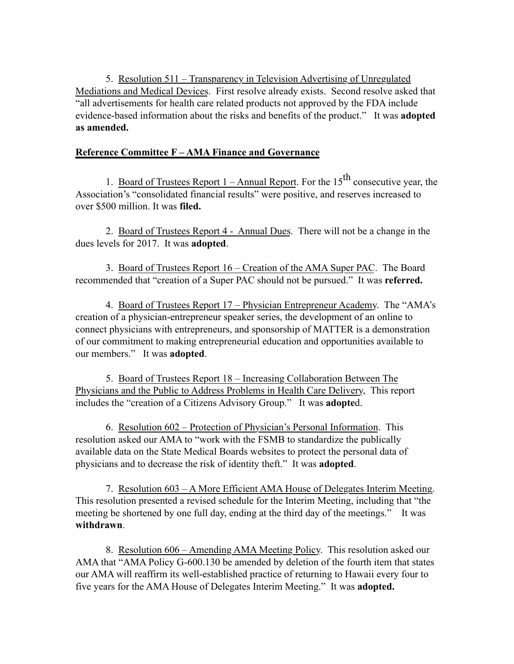5. Resolution 511 – Transparency in Television Advertising of Unregulated Mediations and Medical Devices. First resolve already exists. Second resolve asked that "all advertisements for health care related products not approved by the FDA include evidence-based information about the risks and benefits of the product." It was **adopted as amended.**

## **Reference Committee F – AMA Finance and Governance**

1. Board of Trustees Report  $1 -$  Annual Report. For the  $15<sup>th</sup>$  consecutive year, the Association's "consolidated financial results" were positive, and reserves increased to over \$500 million. It was **filed.** 

2. Board of Trustees Report 4 - Annual Dues. There will not be a change in the dues levels for 2017. It was **adopted**.

3. Board of Trustees Report 16 – Creation of the AMA Super PAC. The Board recommended that "creation of a Super PAC should not be pursued." It was **referred.** 

4. Board of Trustees Report 17 – Physician Entrepreneur Academy. The "AMA's creation of a physician-entrepreneur speaker series, the development of an online to connect physicians with entrepreneurs, and sponsorship of MATTER is a demonstration of our commitment to making entrepreneurial education and opportunities available to our members." It was **adopted**.

5. Board of Trustees Report 18 – Increasing Collaboration Between The Physicians and the Public to Address Problems in Health Care Delivery, This report includes the "creation of a Citizens Advisory Group." It was **adopte**d.

6. Resolution 602 – Protection of Physician's Personal Information. This resolution asked our AMA to "work with the FSMB to standardize the publically available data on the State Medical Boards websites to protect the personal data of physicians and to decrease the risk of identity theft." It was **adopted**.

7. Resolution 603 – A More Efficient AMA House of Delegates Interim Meeting. This resolution presented a revised schedule for the Interim Meeting, including that "the meeting be shortened by one full day, ending at the third day of the meetings." It was **withdrawn**.

8. Resolution 606 – Amending AMA Meeting Policy. This resolution asked our AMA that "AMA Policy G-600.130 be amended by deletion of the fourth item that states our AMA will reaffirm its well-established practice of returning to Hawaii every four to five years for the AMA House of Delegates Interim Meeting." It was **adopted.**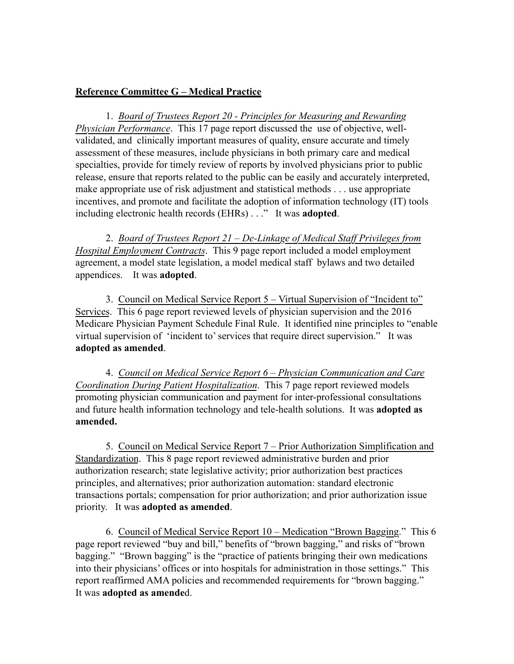#### **Reference Committee G – Medical Practice**

1. *Board of Trustees Report 20 - Principles for Measuring and Rewarding Physician Performance*. This 17 page report discussed the use of objective, wellvalidated, and clinically important measures of quality, ensure accurate and timely assessment of these measures, include physicians in both primary care and medical specialties, provide for timely review of reports by involved physicians prior to public release, ensure that reports related to the public can be easily and accurately interpreted, make appropriate use of risk adjustment and statistical methods . . . use appropriate incentives, and promote and facilitate the adoption of information technology (IT) tools including electronic health records (EHRs) . . ." It was **adopted**.

2. *Board of Trustees Report 21 – De-Linkage of Medical Staff Privileges from Hospital Employment Contracts*. This 9 page report included a model employment agreement, a model state legislation, a model medical staff bylaws and two detailed appendices. It was **adopted**.

3. Council on Medical Service Report 5 – Virtual Supervision of "Incident to" Services. This 6 page report reviewed levels of physician supervision and the 2016 Medicare Physician Payment Schedule Final Rule. It identified nine principles to "enable virtual supervision of 'incident to' services that require direct supervision." It was **adopted as amended**.

4. *Council on Medical Service Report 6 – Physician Communication and Care Coordination During Patient Hospitalization*. This 7 page report reviewed models promoting physician communication and payment for inter-professional consultations and future health information technology and tele-health solutions. It was **adopted as amended.**

5. Council on Medical Service Report 7 – Prior Authorization Simplification and Standardization. This 8 page report reviewed administrative burden and prior authorization research; state legislative activity; prior authorization best practices principles, and alternatives; prior authorization automation: standard electronic transactions portals; compensation for prior authorization; and prior authorization issue priority. It was **adopted as amended**.

6. Council of Medical Service Report 10 – Medication "Brown Bagging." This 6 page report reviewed "buy and bill," benefits of "brown bagging," and risks of "brown bagging." "Brown bagging" is the "practice of patients bringing their own medications into their physicians' offices or into hospitals for administration in those settings." This report reaffirmed AMA policies and recommended requirements for "brown bagging." It was **adopted as amende**d.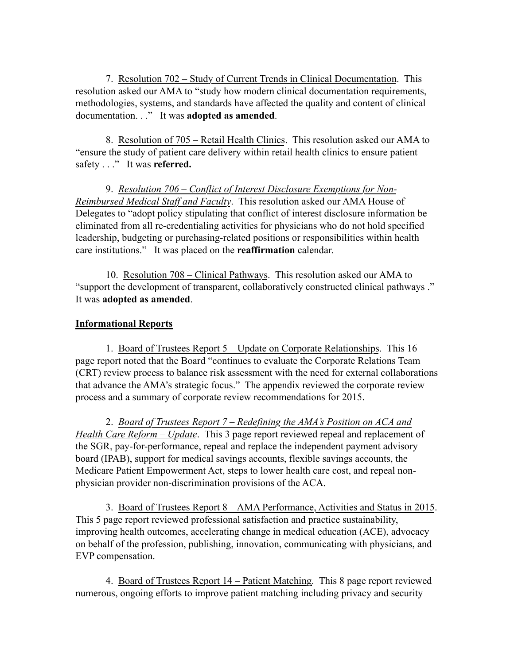7. Resolution 702 – Study of Current Trends in Clinical Documentation. This resolution asked our AMA to "study how modern clinical documentation requirements, methodologies, systems, and standards have affected the quality and content of clinical documentation. . ." It was **adopted as amended**.

8. Resolution of 705 – Retail Health Clinics. This resolution asked our AMA to "ensure the study of patient care delivery within retail health clinics to ensure patient safety . . ." It was **referred.**

9. *Resolution 706 – Conflict of Interest Disclosure Exemptions for Non-Reimbursed Medical Staff and Faculty*. This resolution asked our AMA House of Delegates to "adopt policy stipulating that conflict of interest disclosure information be eliminated from all re-credentialing activities for physicians who do not hold specified leadership, budgeting or purchasing-related positions or responsibilities within health care institutions." It was placed on the **reaffirmation** calendar.

10. Resolution 708 – Clinical Pathways. This resolution asked our AMA to "support the development of transparent, collaboratively constructed clinical pathways ." It was **adopted as amended**.

### **Informational Reports**

1. Board of Trustees Report 5 – Update on Corporate Relationships. This 16 page report noted that the Board "continues to evaluate the Corporate Relations Team (CRT) review process to balance risk assessment with the need for external collaborations that advance the AMA's strategic focus." The appendix reviewed the corporate review process and a summary of corporate review recommendations for 2015.

2. *Board of Trustees Report 7 – Redefining the AMA's Position on ACA and Health Care Reform – Update*. This 3 page report reviewed repeal and replacement of the SGR, pay-for-performance, repeal and replace the independent payment advisory board (IPAB), support for medical savings accounts, flexible savings accounts, the Medicare Patient Empowerment Act, steps to lower health care cost, and repeal nonphysician provider non-discrimination provisions of the ACA.

3. Board of Trustees Report 8 – AMA Performance, Activities and Status in 2015. This 5 page report reviewed professional satisfaction and practice sustainability, improving health outcomes, accelerating change in medical education (ACE), advocacy on behalf of the profession, publishing, innovation, communicating with physicians, and EVP compensation.

4. Board of Trustees Report 14 – Patient Matching. This 8 page report reviewed numerous, ongoing efforts to improve patient matching including privacy and security